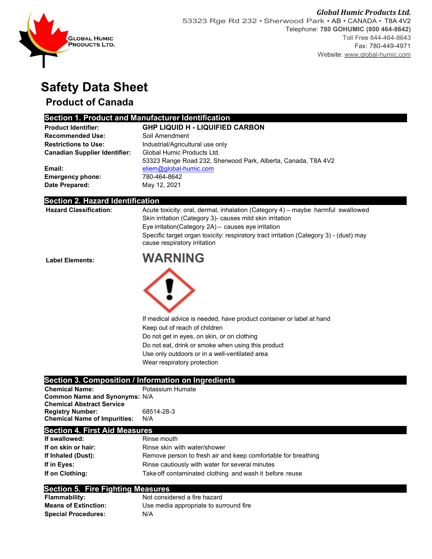

# **Safety Data Sheet**

## **Product of Canada**

## **Section 1. Product and Manufacturer Identification**

| <b>Product Identifier:</b>           | <b>GHP LIQUID H - LIQUIFIED CARBON</b>                        |
|--------------------------------------|---------------------------------------------------------------|
| <b>Recommended Use:</b>              | Soil Amendment                                                |
| <b>Restrictions to Use:</b>          | Industrial/Agricultural use only                              |
| <b>Canadian Supplier Identifier:</b> | Global Humic Products Ltd.                                    |
|                                      | 53323 Range Road 232, Sherwood Park, Alberta, Canada, T8A 4V2 |
| Email:                               | eliem@global-humic.com                                        |
| <b>Emergency phone:</b>              | 780-464-8642                                                  |
| Date Prepared:                       | May 12, 2021                                                  |

#### **Section 2. Hazard Identification**

|                               | , , , , , , , , , , , , ,                                                                                              |
|-------------------------------|------------------------------------------------------------------------------------------------------------------------|
|                               | Specific target organ toxicity: respiratory tract irritation (Category 3) - (dust) may<br>cause respiratory irritation |
|                               | Eye irritation (Category 2A) - causes eye irritation                                                                   |
|                               | Skin irritation (Category 3) causes mild skin irritation                                                               |
| <b>Hazard Classification:</b> | Acute toxicity: oral, dermal, inhalation (Category 4) – maybe harmful swallowed                                        |

**Label Elements: WARNING**



If medical advice is needed, have product container or label at hand Keep out of reach of children Do not get in eyes, on skin, or on clothing Do not eat, drink or smoke when using this product Use only outdoors or in a well-ventilated area

Wear respiratory protection

### **Section 3. Composition / Information on Ingredients**

**Chemical Name:** Potassium Humate **Common Name and Synonyms:** N/A  **Chemical Abstract Service Registry Number:** 68514-28-3 **Chemical Name of Impurities:** 

#### **Section 4. First Aid Measures**

| If swallowed:       | Rinse mouth                                                   |
|---------------------|---------------------------------------------------------------|
| If on skin or hair: | Rinse skin with water/shower                                  |
| If Inhaled (Dust):  | Remove person to fresh air and keep comfortable for breathing |
| If in Eves:         | Rinse cautiously with water for several minutes               |
| If on Clothing:     | Take off contaminated clothing and wash it before reuse       |

#### **Section 5. Fire Fighting Measures**

| <b>Flammability:</b>        | Not considered a fire hazard           |
|-----------------------------|----------------------------------------|
| <b>Means of Extinction:</b> | Use media appropriate to surround fire |
| <b>Special Procedures:</b>  | N/A                                    |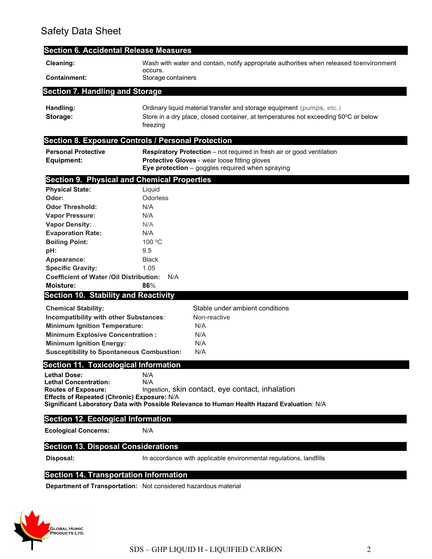## Safety Data Sheet

| <b>Section 6. Accidental Release Measures</b>      |                                                                                                                                                                          |
|----------------------------------------------------|--------------------------------------------------------------------------------------------------------------------------------------------------------------------------|
| Cleaning:                                          | Wash with water and contain, notify appropriate authorities when released toenvironment<br>occurs.                                                                       |
| <b>Containment:</b>                                | Storage containers                                                                                                                                                       |
| <b>Section 7. Handling and Storage</b>             |                                                                                                                                                                          |
| Handling:<br>Storage:                              | Ordinary liquid material transfer and storage equipment (pumps, etc.)<br>Store in a dry place, closed container, at temperatures not exceeding 50°C or below<br>freezing |
|                                                    | <b>Section 8. Exposure Controls / Personal Protection</b>                                                                                                                |
| <b>Personal Protective</b>                         | <b>Respiratory Protection</b> – not required in fresh air or good ventilation                                                                                            |
| <b>Equipment:</b>                                  | Protective Gloves - wear loose fitting gloves<br>Eye protection - goggles required when spraying                                                                         |
| <b>Section 9. Physical and Chemical Properties</b> |                                                                                                                                                                          |
| <b>Physical State:</b>                             | Liquid                                                                                                                                                                   |
| Odor:                                              | Odorless                                                                                                                                                                 |
| <b>Odor Threshold:</b>                             | N/A                                                                                                                                                                      |
| <b>Vapor Pressure:</b>                             | N/A                                                                                                                                                                      |
| <b>Vapor Density:</b>                              | N/A                                                                                                                                                                      |
| <b>Evaporation Rate:</b>                           | N/A<br>100 °C                                                                                                                                                            |
| <b>Boiling Point:</b><br>pH:                       | 9.5                                                                                                                                                                      |
| Appearance:                                        | <b>Black</b>                                                                                                                                                             |
| <b>Specific Gravity:</b>                           | 1.05                                                                                                                                                                     |
| <b>Coefficient of Water /Oil Distribution:</b>     | N/A                                                                                                                                                                      |
| <b>Moisture:</b>                                   | 86%                                                                                                                                                                      |
| <b>Section 10. Stability and Reactivity</b>        |                                                                                                                                                                          |
| <b>Chemical Stability:</b>                         | Stable under ambient conditions                                                                                                                                          |
| Incompatibility with other Substances:             | Non-reactive                                                                                                                                                             |
| <b>Minimum Ignition Temperature:</b>               | N/A                                                                                                                                                                      |
| <b>Minimum Explosive Concentration:</b>            | N/A                                                                                                                                                                      |
| <b>Minimum Ignition Energy:</b>                    | N/A                                                                                                                                                                      |
| <b>Susceptibility to Spontaneous Combustion:</b>   | N/A                                                                                                                                                                      |
| <b>Section 11. Toxicological Information</b>       |                                                                                                                                                                          |
| <b>Lethal Dose:</b>                                | N/A                                                                                                                                                                      |
| <b>Lethal Concentration:</b>                       | N/A                                                                                                                                                                      |
| <b>Routes of Exposure:</b>                         | Ingestion, skin contact, eye contact, inhalation                                                                                                                         |
| Effects of Repeated (Chronic) Exposure: N/A        | Significant Laboratory Data with Possible Relevance to Human Health Hazard Evaluation: N/A                                                                               |
| <b>Section 12. Ecological Information</b>          |                                                                                                                                                                          |
|                                                    |                                                                                                                                                                          |
| <b>Ecological Concerns:</b>                        | N/A                                                                                                                                                                      |
| <b>Section 13. Disposal Considerations</b>         |                                                                                                                                                                          |
| Disposal:                                          | In accordance with applicable environmental regulations, landfills                                                                                                       |
|                                                    |                                                                                                                                                                          |

## **Section 14. Transportation Information**

**Department of Transportation:** Not considered hazardous material